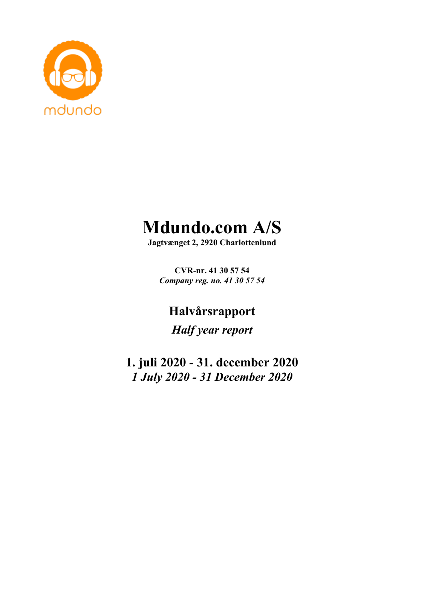

# **Mdundo.com A/S**

**Jagtvænget 2, 2920 Charlottenlund**

**CVR-nr. 41 30 57 54** *Company reg. no. 41 30 57 54*

**Halvårsrapport**

*Half year report*

**1. juli 2020 - 31. december 2020** *1 July 2020 - 31 December 2020*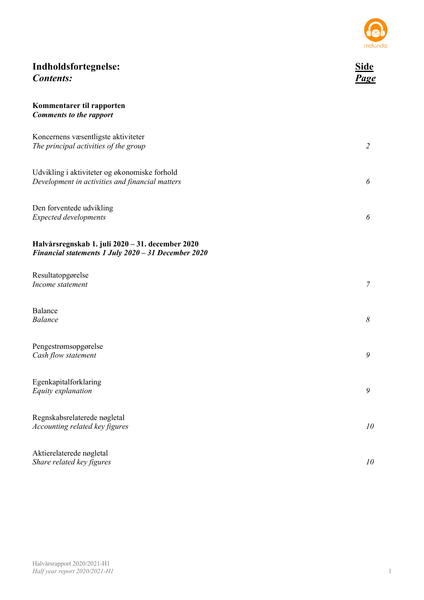

| Indholdsfortegnelse:<br><b>Contents:</b>                                                                | Side<br>Page   |
|---------------------------------------------------------------------------------------------------------|----------------|
| Kommentarer til rapporten<br><b>Comments to the rapport</b>                                             |                |
| Koncernens væsentligste aktiviteter<br>The principal activities of the group                            | $\overline{2}$ |
| Udvikling i aktiviteter og økonomiske forhold<br>Development in activities and financial matters        | 6              |
| Den forventede udvikling<br><b>Expected developments</b>                                                | 6              |
| Halvårsregnskab 1. juli 2020 - 31. december 2020<br>Financial statements 1 July 2020 - 31 December 2020 |                |
| Resultatopgørelse<br>Income statement                                                                   | $\mathcal{I}$  |
| Balance<br><b>Balance</b>                                                                               | $\delta$       |
| Pengestrømsopgørelse<br>Cash flow statement                                                             | 9              |
| Egenkapitalforklaring<br>Equity explanation                                                             | 9              |
| Regnskabsrelaterede nøgletal<br>Accounting related key figures                                          | 10             |
| Aktierelaterede nøgletal<br>Share related key figures                                                   | 10             |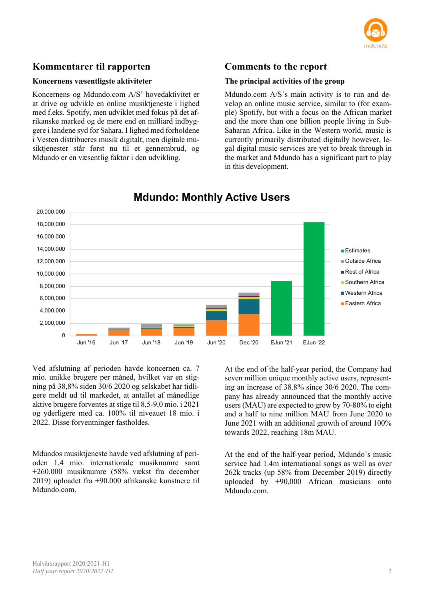

## **Kommentarer til rapporten**

### **Koncernens væsentligste aktiviteter**

Koncernens og Mdundo.com A/S' hovedaktivitet er at drive og udvikle en online musiktjeneste i lighed med f.eks. Spotify, men udviklet med fokus på det afrikanske marked og de mere end en milliard indbyggere i landene syd for Sahara. I lighed med forholdene i Vesten distribueres musik digitalt, men digitale musiktjenester står først nu til et gennembrud, og Mdundo er en væsentlig faktor i den udvikling.

## **Comments to the report**

#### **The principal activities of the group**

Mdundo.com A/S's main activity is to run and develop an online music service, similar to (for example) Spotify, but with a focus on the African market and the more than one billion people living in Sub-Saharan Africa. Like in the Western world, music is currently primarily distributed digitally however, legal digital music services are yet to break through in the market and Mdundo has a significant part to play in this development.



## **Mdundo: Monthly Active Users**

Ved afslutning af perioden havde koncernen ca. 7 mio. unikke brugere per måned, hvilket var en stigning på 38,8% siden 30/6 2020 og selskabet har tidligere meldt ud til markedet, at antallet af månedlige aktive brugere forventes at stige til 8,5-9,0 mio. i 2021 og yderligere med ca. 100% til niveauet 18 mio. i 2022. Disse forventninger fastholdes.

Mdundos musiktjeneste havde ved afslutning af perioden 1,4 mio. internationale musiknumre samt +260.000 musiknumre (58% vækst fra december 2019) uploadet fra +90.000 afrikanske kunstnere til Mdundo.com.

At the end of the half-year period, the Company had seven million unique monthly active users, representing an increase of 38.8% since 30/6 2020. The company has already announced that the monthly active users (MAU) are expected to grow by 70-80% to eight and a half to nine million MAU from June 2020 to June 2021 with an additional growth of around 100% towards 2022, reaching 18m MAU.

At the end of the half-year period, Mdundo's music service had 1.4m international songs as well as over 262k tracks (up 58% from December 2019) directly uploaded by +90,000 African musicians onto Mdundo.com.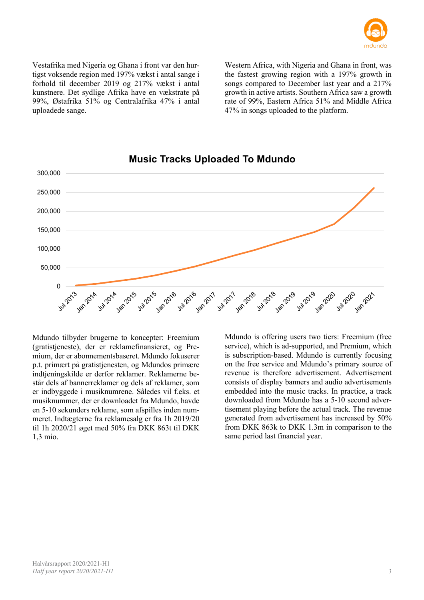

Vestafrika med Nigeria og Ghana i front var den hurtigst voksende region med 197% vækst i antal sange i forhold til december 2019 og 217% vækst i antal kunstnere. Det sydlige Afrika have en vækstrate på 99%, Østafrika 51% og Centralafrika 47% i antal uploadede sange.

Western Africa, with Nigeria and Ghana in front, was the fastest growing region with a 197% growth in songs compared to December last year and a 217% growth in active artists. Southern Africa saw a growth rate of 99%, Eastern Africa 51% and Middle Africa 47% in songs uploaded to the platform.



## **Music Tracks Uploaded To Mdundo**

Mdundo tilbyder brugerne to koncepter: Freemium (gratistjeneste), der er reklamefinansieret, og Premium, der er abonnementsbaseret. Mdundo fokuserer p.t. primært på gratistjenesten, og Mdundos primære indtjeningskilde er derfor reklamer. Reklamerne består dels af bannerreklamer og dels af reklamer, som er indbyggede i musiknumrene. Således vil f.eks. et musiknummer, der er downloadet fra Mdundo, havde en 5-10 sekunders reklame, som afspilles inden nummeret. Indtægterne fra reklamesalg er fra 1h 2019/20 til 1h 2020/21 øget med 50% fra DKK 863t til DKK 1,3 mio.

Mdundo is offering users two tiers: Freemium (free service), which is ad-supported, and Premium, which is subscription-based. Mdundo is currently focusing on the free service and Mdundo's primary source of revenue is therefore advertisement. Advertisement consists of display banners and audio advertisements embedded into the music tracks. In practice, a track downloaded from Mdundo has a 5-10 second advertisement playing before the actual track. The revenue generated from advertisement has increased by 50% from DKK 863k to DKK 1.3m in comparison to the same period last financial year.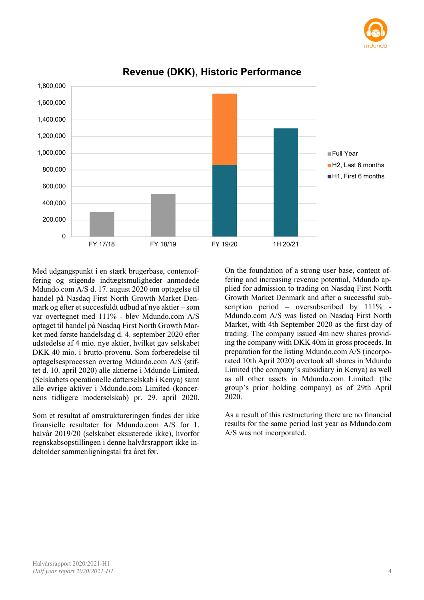



## **Revenue (DKK), Historic Performance**

Med udgangspunkt i en stærk brugerbase, contentoffering og stigende indtægtsmuligheder anmodede Mdundo.com A/S d. 17. august 2020 om optagelse til handel på Nasdaq First North Growth Market Denmark og efter et succesfuldt udbud af nye aktier – som var overtegnet med 111% - blev Mdundo.com A/S optaget til handel på Nasdaq First North Growth Market med første handelsdag d. 4. september 2020 efter udstedelse af 4 mio. nye aktier, hvilket gav selskabet DKK 40 mio. i brutto-provenu. Som forberedelse til optagelsesprocessen overtog Mdundo.com A/S (stiftet d. 10. april 2020) alle aktierne i Mdundo Limited. (Selskabets operationelle datterselskab i Kenya) samt alle øvrige aktiver i Mdundo.com Limited (koncernens tidligere moderselskab) pr. 29. april 2020.

Som et resultat af omstruktureringen findes der ikke finansielle resultater for Mdundo.com A/S for 1. halvår 2019/20 (selskabet eksisterede ikke), hvorfor regnskabsopstillingen i denne halvårsrapport ikke indeholder sammenligningstal fra året før.

On the foundation of a strong user base, content offering and increasing revenue potential, Mdundo applied for admission to trading on Nasdaq First North Growth Market Denmark and after a successful subscription period – oversubscribed by 111% -Mdundo.com A/S was listed on Nasdaq First North Market, with 4th September 2020 as the first day of trading. The company issued 4m new shares providing the company with DKK 40m in gross proceeds. In preparation for the listing Mdundo.com A/S (incorporated 10th April 2020) overtook all shares in Mdundo Limited (the company's subsidiary in Kenya) as well as all other assets in Mdundo.com Limited. (the group's prior holding company) as of 29th April 2020.

As a result of this restructuring there are no financial results for the same period last year as Mdundo.com A/S was not incorporated.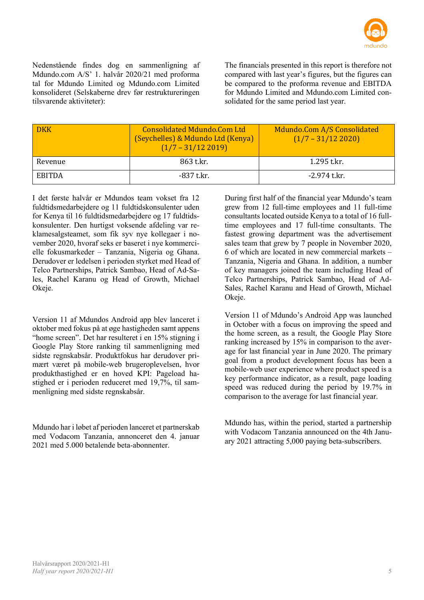

Nedenstående findes dog en sammenligning af Mdundo.com A/S' 1. halvår 2020/21 med proforma tal for Mdundo Limited og Mdundo.com Limited konsolideret (Selskaberne drev før restruktureringen tilsvarende aktiviteter):

The financials presented in this report is therefore not compared with last year's figures, but the figures can be compared to the proforma revenue and EBITDA for Mdundo Limited and Mdundo.com Limited consolidated for the same period last year.

| <b>DKK</b>    | <b>Consolidated Mdundo.Com Ltd</b><br>(Seychelles) & Mdundo Ltd (Kenya)<br>$(1/7 - 31/122019)$ | Mdundo.Com A/S Consolidated<br>$(1/7 - 31/122020)$ |
|---------------|------------------------------------------------------------------------------------------------|----------------------------------------------------|
| Revenue       | 863 t.kr.                                                                                      | 1.295 t.kr.                                        |
| <b>EBITDA</b> | -837 t.kr.                                                                                     | -2.974 t.kr.                                       |

I det første halvår er Mdundos team vokset fra 12 fuldtidsmedarbejdere og 11 fuldtidskonsulenter uden for Kenya til 16 fuldtidsmedarbejdere og 17 fuldtidskonsulenter. Den hurtigst voksende afdeling var reklamesalgsteamet, som fik syv nye kollegaer i november 2020, hvoraf seks er baseret i nye kommercielle fokusmarkeder – Tanzania, Nigeria og Ghana. Derudover er ledelsen i perioden styrket med Head of Telco Partnerships, Patrick Sambao, Head of Ad-Sales, Rachel Karanu og Head of Growth, Michael Okeje.

Version 11 af Mdundos Android app blev lanceret i oktober med fokus på at øge hastigheden samt appens "home screen". Det har resulteret i en 15% stigning i Google Play Store ranking til sammenligning med sidste regnskabsår. Produktfokus har derudover primært været på mobile-web brugeroplevelsen, hvor produkthastighed er en hoved KPI: Pageload hastighed er i perioden reduceret med 19,7%, til sammenligning med sidste regnskabsår.

Mdundo har i løbet af perioden lanceret et partnerskab med Vodacom Tanzania, annonceret den 4. januar 2021 med 5.000 betalende beta-abonnenter.

During first half of the financial year Mdundo's team grew from 12 full-time employees and 11 full-time consultants located outside Kenya to a total of 16 fulltime employees and 17 full-time consultants. The fastest growing department was the advertisement sales team that grew by 7 people in November 2020, 6 of which are located in new commercial markets – Tanzania, Nigeria and Ghana. In addition, a number of key managers joined the team including Head of Telco Partnerships, Patrick Sambao, Head of Ad-Sales, Rachel Karanu and Head of Growth, Michael Okeje.

Version 11 of Mdundo's Android App was launched in October with a focus on improving the speed and the home screen, as a result, the Google Play Store ranking increased by 15% in comparison to the average for last financial year in June 2020. The primary goal from a product development focus has been a mobile-web user experience where product speed is a key performance indicator, as a result, page loading speed was reduced during the period by 19.7% in comparison to the average for last financial year.

Mdundo has, within the period, started a partnership with Vodacom Tanzania announced on the 4th January 2021 attracting 5,000 paying beta-subscribers.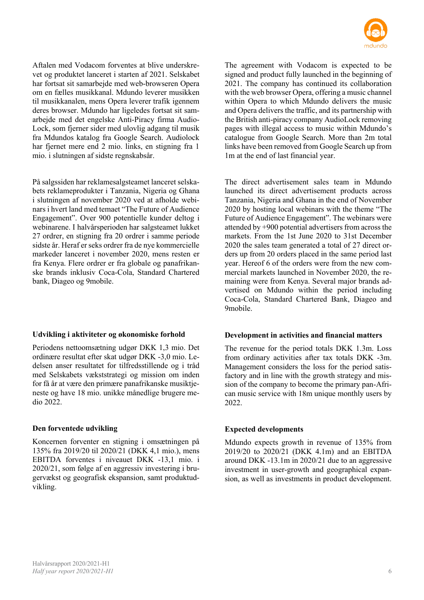

Aftalen med Vodacom forventes at blive underskrevet og produktet lanceret i starten af 2021. Selskabet har fortsat sit samarbejde med web-browseren Opera om en fælles musikkanal. Mdundo leverer musikken til musikkanalen, mens Opera leverer trafik igennem deres browser. Mdundo har ligeledes fortsat sit samarbejde med det engelske Anti-Piracy firma Audio-Lock, som fjerner sider med ulovlig adgang til musik fra Mdundos katalog fra Google Search. Audiolock har fjernet mere end 2 mio. links, en stigning fra 1 mio. i slutningen af sidste regnskabsår.

På salgssiden har reklamesalgsteamet lanceret selskabets reklameprodukter i Tanzania, Nigeria og Ghana i slutningen af november 2020 ved at afholde webinars i hvert land med temaet "The Future of Audience Engagement". Over 900 potentielle kunder deltog i webinarene. I halvårsperioden har salgsteamet lukket 27 ordrer, en stigning fra 20 ordrer i samme periode sidste år. Heraf er seks ordrer fra de nye kommercielle markeder lanceret i november 2020, mens resten er fra Kenya. Flere ordrer er fra globale og panafrikanske brands inklusiv Coca-Cola, Standard Chartered bank, Diageo og 9mobile.

#### **Udvikling i aktiviteter og økonomiske forhold**

Periodens nettoomsætning udgør DKK 1,3 mio. Det ordinære resultat efter skat udgør DKK -3,0 mio. Ledelsen anser resultatet for tilfredsstillende og i tråd med Selskabets vækststrategi og mission om inden for få år at være den primære panafrikanske musiktjeneste og have 18 mio. unikke månedlige brugere medio 2022.

#### **Den forventede udvikling**

Koncernen forventer en stigning i omsætningen på 135% fra 2019/20 til 2020/21 (DKK 4,1 mio.), mens EBITDA forventes i niveauet DKK -13,1 mio. i 2020/21, som følge af en aggressiv investering i brugervækst og geografisk ekspansion, samt produktudvikling.

The agreement with Vodacom is expected to be signed and product fully launched in the beginning of 2021. The company has continued its collaboration with the web browser Opera, offering a music channel within Opera to which Mdundo delivers the music and Opera delivers the traffic, and its partnership with the British anti-piracy company AudioLock removing pages with illegal access to music within Mdundo's catalogue from Google Search. More than 2m total links have been removed from Google Search up from 1m at the end of last financial year.

The direct advertisement sales team in Mdundo launched its direct advertisement products across Tanzania, Nigeria and Ghana in the end of November 2020 by hosting local webinars with the theme "The Future of Audience Engagement". The webinars were attended by +900 potential advertisers from across the markets. From the 1st June 2020 to 31st December 2020 the sales team generated a total of 27 direct orders up from 20 orders placed in the same period last year. Hereof 6 of the orders were from the new commercial markets launched in November 2020, the remaining were from Kenya. Several major brands advertised on Mdundo within the period including Coca-Cola, Standard Chartered Bank, Diageo and 9mobile.

#### **Development in activities and financial matters**

The revenue for the period totals DKK 1.3m. Loss from ordinary activities after tax totals DKK -3m. Management considers the loss for the period satisfactory and in line with the growth strategy and mission of the company to become the primary pan-African music service with 18m unique monthly users by 2022.

#### **Expected developments**

Mdundo expects growth in revenue of 135% from 2019/20 to 2020/21 (DKK 4.1m) and an EBITDA around DKK -13.1m in 2020/21 due to an aggressive investment in user-growth and geographical expansion, as well as investments in product development.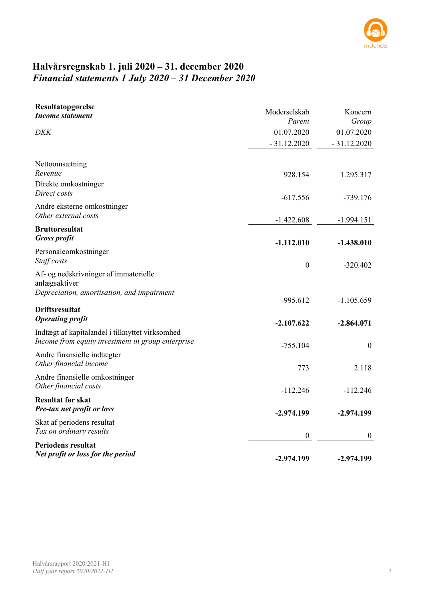

## **Halvårsregnskab 1. juli 2020 – 31. december 2020** *Financial statements 1 July 2020 – 31 December 2020*

| Resultatopgørelse<br><b>Income statement</b>                                                         | Moderselskab     | Koncern          |
|------------------------------------------------------------------------------------------------------|------------------|------------------|
|                                                                                                      | Parent           | Group            |
| <b>DKK</b>                                                                                           | 01.07.2020       | 01.07.2020       |
|                                                                                                      | $-31.12.2020$    | $-31.12.2020$    |
| Nettoomsætning                                                                                       |                  |                  |
| Revenue                                                                                              | 928.154          | 1.295.317        |
| Direkte omkostninger<br>Direct costs                                                                 | $-617.556$       | $-739.176$       |
| Andre eksterne omkostninger                                                                          |                  |                  |
| Other external costs                                                                                 | $-1.422.608$     | $-1.994.151$     |
| <b>Bruttoresultat</b><br><b>Gross profit</b>                                                         |                  |                  |
|                                                                                                      | $-1.112.010$     | $-1.438.010$     |
| Personaleomkostninger<br>Staff costs                                                                 | $\boldsymbol{0}$ | $-320.402$       |
| Af- og nedskrivninger af immaterielle<br>anlægsaktiver                                               |                  |                  |
| Depreciation, amortisation, and impairment                                                           | $-995.612$       | $-1.105.659$     |
| <b>Driftsresultat</b>                                                                                |                  |                  |
| <b>Operating profit</b>                                                                              | $-2.107.622$     | $-2.864.071$     |
| Indtægt af kapitalandel i tilknyttet virksomhed<br>Income from equity investment in group enterprise | $-755.104$       | $\boldsymbol{0}$ |
| Andre finansielle indtægter<br>Other financial income                                                | 773              | 2.118            |
| Andre finansielle omkostninger                                                                       |                  |                  |
| Other financial costs                                                                                | $-112.246$       | $-112.246$       |
| <b>Resultat før skat</b><br>Pre-tax net profit or loss                                               | $-2.974.199$     | $-2.974.199$     |
| Skat af periodens resultat<br>Tax on ordinary results                                                |                  |                  |
| <b>Periodens resultat</b>                                                                            | $\boldsymbol{0}$ | $\mathbf{0}$     |
| Net profit or loss for the period                                                                    | $-2.974.199$     | $-2.974.199$     |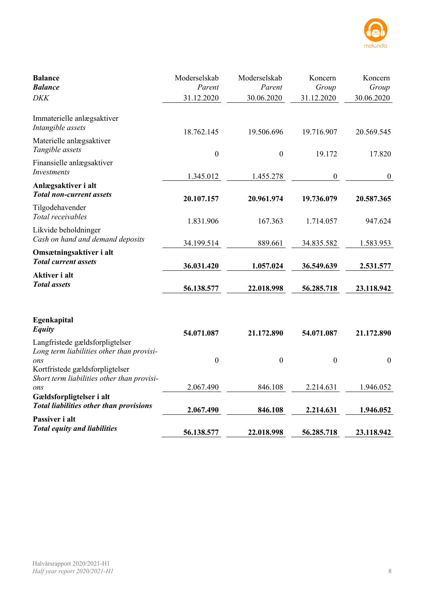

| <b>Balance</b><br><b>Balance</b>                                                                                       | Moderselskab<br>Parent | Moderselskab<br>Parent | Koncern<br>Group | Koncern<br>Group |
|------------------------------------------------------------------------------------------------------------------------|------------------------|------------------------|------------------|------------------|
| <b>DKK</b>                                                                                                             | 31.12.2020             | 30.06.2020             | 31.12.2020       | 30.06.2020       |
| Immaterielle anlægsaktiver<br>Intangible assets                                                                        | 18.762.145             | 19.506.696             | 19.716.907       | 20.569.545       |
| Materielle anlægsaktiver<br>Tangible assets                                                                            | $\boldsymbol{0}$       | $\boldsymbol{0}$       | 19.172           | 17.820           |
| Finansielle anlægsaktiver<br>Investments                                                                               | 1.345.012              | 1.455.278              | $\boldsymbol{0}$ | $\boldsymbol{0}$ |
| Anlægsaktiver i alt<br><b>Total non-current assets</b>                                                                 | 20.107.157             | 20.961.974             | 19.736.079       | 20.587.365       |
| Tilgodehavender<br>Total receivables                                                                                   | 1.831.906              | 167.363                | 1.714.057        | 947.624          |
| Likvide beholdninger<br>Cash on hand and demand deposits                                                               | 34.199.514             | 889.661                | 34.835.582       | 1.583.953        |
| Omsætningsaktiver i alt<br><b>Total current assets</b>                                                                 | 36.031.420             | 1.057.024              | 36.549.639       | 2.531.577        |
| Aktiver i alt<br><b>Total</b> assets                                                                                   | 56.138.577             | 22.018.998             | 56.285.718       | 23.118.942       |
| Egenkapital<br><b>Equity</b>                                                                                           | 54.071.087             | 21.172.890             | 54.071.087       | 21.172.890       |
| Langfristede gældsforpligtelser<br>Long term liabilities other than provisi-<br>ons<br>Kortfristede gældsforpligtelser | $\mathbf{0}$           | $\boldsymbol{0}$       | $\boldsymbol{0}$ | $\boldsymbol{0}$ |
| Short term liabilities other than provisi-<br>ons                                                                      | 2.067.490              | 846.108                | 2.214.631        | 1.946.052        |
| Gældsforpligtelser i alt<br><b>Total liabilities other than provisions</b>                                             | 2.067.490              | 846.108                | 2.214.631        | 1.946.052        |
| Passiver i alt<br><b>Total equity and liabilities</b>                                                                  | 56.138.577             | 22.018.998             | 56.285.718       | 23.118.942       |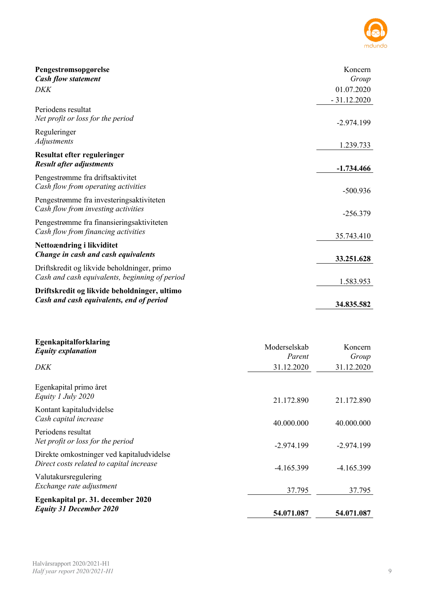

| Pengestrømsopgørelse<br><b>Cash flow statement</b>                                            | Koncern<br>Group |
|-----------------------------------------------------------------------------------------------|------------------|
| DKK                                                                                           | 01.07.2020       |
|                                                                                               | $-31.12.2020$    |
| Periodens resultat<br>Net profit or loss for the period                                       | $-2.974.199$     |
| Reguleringer<br>Adjustments                                                                   | 1.239.733        |
| Resultat efter reguleringer<br><b>Result after adjustments</b>                                | $-1.734.466$     |
| Pengestrømme fra driftsaktivitet<br>Cash flow from operating activities                       | $-500.936$       |
| Pengestrømme fra investeringsaktiviteten<br>Cash flow from investing activities               | $-256.379$       |
| Pengestrømme fra finansieringsaktiviteten<br>Cash flow from financing activities              | 35.743.410       |
| Nettoændring i likviditet<br>Change in cash and cash equivalents                              | 33.251.628       |
| Driftskredit og likvide beholdninger, primo<br>Cash and cash equivalents, beginning of period | 1.583.953        |
| Driftskredit og likvide beholdninger, ultimo<br>Cash and cash equivalents, end of period      | 34.835.582       |

| Egenkapitalforklaring<br><b>Equity explanation</b>                                    | Moderselskab<br>Parent | Koncern<br>Group |
|---------------------------------------------------------------------------------------|------------------------|------------------|
| DKK                                                                                   | 31.12.2020             | 31.12.2020       |
| Egenkapital primo året<br>Equity 1 July 2020                                          | 21.172.890             | 21.172.890       |
| Kontant kapitaludvidelse<br>Cash capital increase                                     | 40.000.000             | 40.000.000       |
| Periodens resultat<br>Net profit or loss for the period                               | $-2.974.199$           | $-2.974.199$     |
| Direkte omkostninger ved kapitaludvidelse<br>Direct costs related to capital increase | $-4.165.399$           | $-4.165.399$     |
| Valutakursregulering<br>Exchange rate adjustment                                      | 37.795                 | 37.795           |
| Egenkapital pr. 31. december 2020<br><b>Equity 31 December 2020</b>                   | 54.071.087             | 54.071.087       |